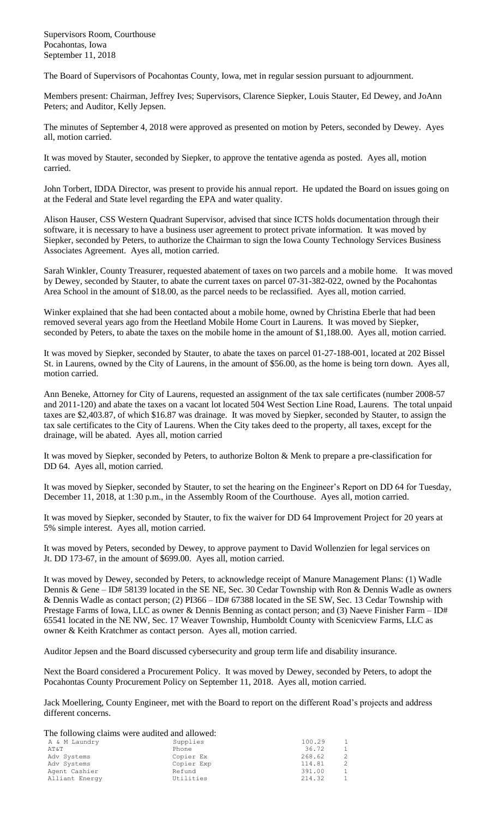Supervisors Room, Courthouse Pocahontas, Iowa September 11, 2018

The Board of Supervisors of Pocahontas County, Iowa, met in regular session pursuant to adjournment.

Members present: Chairman, Jeffrey Ives; Supervisors, Clarence Siepker, Louis Stauter, Ed Dewey, and JoAnn Peters; and Auditor, Kelly Jepsen.

The minutes of September 4, 2018 were approved as presented on motion by Peters, seconded by Dewey. Ayes all, motion carried.

It was moved by Stauter, seconded by Siepker, to approve the tentative agenda as posted. Ayes all, motion carried.

John Torbert, IDDA Director, was present to provide his annual report. He updated the Board on issues going on at the Federal and State level regarding the EPA and water quality.

Alison Hauser, CSS Western Quadrant Supervisor, advised that since ICTS holds documentation through their software, it is necessary to have a business user agreement to protect private information. It was moved by Siepker, seconded by Peters, to authorize the Chairman to sign the Iowa County Technology Services Business Associates Agreement. Ayes all, motion carried.

Sarah Winkler, County Treasurer, requested abatement of taxes on two parcels and a mobile home. It was moved by Dewey, seconded by Stauter, to abate the current taxes on parcel 07-31-382-022, owned by the Pocahontas Area School in the amount of \$18.00, as the parcel needs to be reclassified. Ayes all, motion carried.

Winker explained that she had been contacted about a mobile home, owned by Christina Eberle that had been removed several years ago from the Heetland Mobile Home Court in Laurens. It was moved by Siepker, seconded by Peters, to abate the taxes on the mobile home in the amount of \$1,188.00. Ayes all, motion carried.

It was moved by Siepker, seconded by Stauter, to abate the taxes on parcel 01-27-188-001, located at 202 Bissel St. in Laurens, owned by the City of Laurens, in the amount of \$56.00, as the home is being torn down. Ayes all, motion carried.

Ann Beneke, Attorney for City of Laurens, requested an assignment of the tax sale certificates (number 2008-57 and 2011-120) and abate the taxes on a vacant lot located 504 West Section Line Road, Laurens. The total unpaid taxes are \$2,403.87, of which \$16.87 was drainage. It was moved by Siepker, seconded by Stauter, to assign the tax sale certificates to the City of Laurens. When the City takes deed to the property, all taxes, except for the drainage, will be abated. Ayes all, motion carried

It was moved by Siepker, seconded by Peters, to authorize Bolton & Menk to prepare a pre-classification for DD 64. Ayes all, motion carried.

It was moved by Siepker, seconded by Stauter, to set the hearing on the Engineer's Report on DD 64 for Tuesday, December 11, 2018, at 1:30 p.m., in the Assembly Room of the Courthouse. Ayes all, motion carried.

It was moved by Siepker, seconded by Stauter, to fix the waiver for DD 64 Improvement Project for 20 years at 5% simple interest. Ayes all, motion carried.

It was moved by Peters, seconded by Dewey, to approve payment to David Wollenzien for legal services on Jt. DD 173-67, in the amount of \$699.00. Ayes all, motion carried.

It was moved by Dewey, seconded by Peters, to acknowledge receipt of Manure Management Plans: (1) Wadle Dennis & Gene – ID# 58139 located in the SE NE, Sec. 30 Cedar Township with Ron & Dennis Wadle as owners & Dennis Wadle as contact person; (2) PI366 – ID# 67388 located in the SE SW, Sec. 13 Cedar Township with Prestage Farms of Iowa, LLC as owner & Dennis Benning as contact person; and (3) Naeve Finisher Farm – ID# 65541 located in the NE NW, Sec. 17 Weaver Township, Humboldt County with Scenicview Farms, LLC as owner & Keith Kratchmer as contact person. Ayes all, motion carried.

Auditor Jepsen and the Board discussed cybersecurity and group term life and disability insurance.

Next the Board considered a Procurement Policy. It was moved by Dewey, seconded by Peters, to adopt the Pocahontas County Procurement Policy on September 11, 2018. Ayes all, motion carried.

Jack Moellering, County Engineer, met with the Board to report on the different Road's projects and address different concerns.

The following claims were audited and allowed:

| A & M Laundry  | Supplies   | 100.29 | 1            |
|----------------|------------|--------|--------------|
| AT&T           | Phone      | 36.72  | $\mathbf{1}$ |
| Adv Systems    | Copier Ex  | 268.62 | 2            |
| Adv Systems    | Copier Exp | 114.81 | 2            |
| Agent Cashier  | Refund     | 391.00 | $\mathbf{1}$ |
| Alliant Energy | Utilities  | 214.32 | $\mathbf{1}$ |
|                |            |        |              |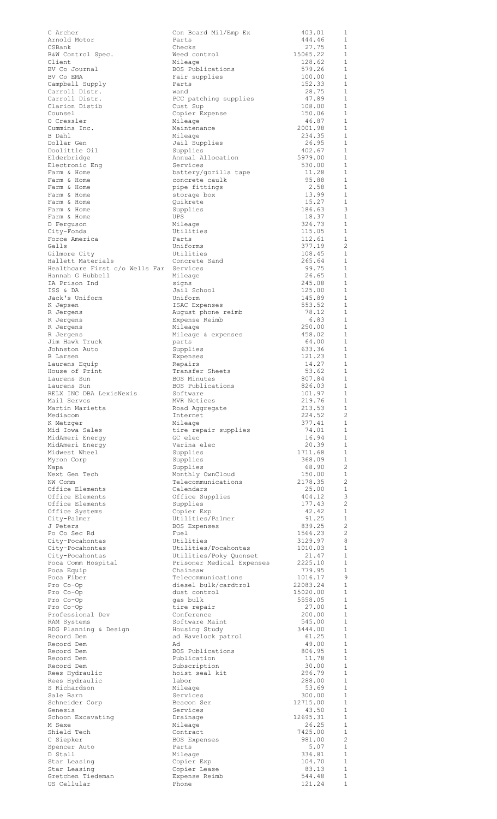| C Archer                              | Con Board Mil/Emp Ex                                | 403.01              | 1<br>1                         |
|---------------------------------------|-----------------------------------------------------|---------------------|--------------------------------|
| Arnold Motor<br>CSBank                | Parts<br>Checks                                     | 444.46<br>27.75     | $\mathbf{1}$                   |
| B&W Control Spec.                     | Weed control                                        | 15065.22            | $\mathbf{1}$                   |
| Client<br>BV Co Journal               | Mileage<br>BOS Publications                         | 128.62<br>579.26    | $\mathbf{1}$<br>$\mathbf{1}$   |
| BV Co EMA                             | Fair supplies                                       | 100.00              | $\mathbf{1}$                   |
| Campbell Supply                       | Parts                                               | 152.33              | $\mathbf{1}$                   |
| Carroll Distr.<br>Carroll Distr.      | wand<br>PCC patching supplies                       | 28.75<br>47.89      | $\mathbf{1}$<br>$\mathbf{1}$   |
| Clarion Distib                        | Cust Sup                                            | 108.00              | $\mathbf{1}$                   |
| Counsel<br>O Cressler                 | Copier Expense<br>Mileage                           | 150.06<br>46.87     | 1<br>1                         |
| Cummins Inc.                          | Maintenance                                         | 2001.98             | 1                              |
| B Dahl                                | Mileage                                             | 234.35              | 1                              |
| Dollar Gen<br>Doolittle Oil           | Jail Supplies<br>Supplies                           | 26.95<br>402.67     | 1<br>$\mathbf{1}$              |
| Elderbridge                           | Annual Allocation                                   | 5979.00             | $\mathbf{1}$                   |
| Electronic Eng<br>Farm & Home         | Services                                            | 530.00<br>11.28     | $\mathbf{1}$<br>$\mathbf{1}$   |
| Farm & Home                           | battery/gorilla tape<br>concrete caulk              | 95.88               | $\mathbf{1}$                   |
| Farm & Home                           | pipe fittings                                       | 2.58                | $\mathbf{1}$                   |
| Farm & Home<br>Farm & Home            | storage box<br>Quikrete                             | 13.99<br>15.27      | $\mathbf{1}$<br>1              |
| Farm & Home                           | Supplies                                            | 186.63              | 3                              |
| Farm & Home                           | UPS                                                 | 18.37               | $\mathbf{1}$<br>$\mathbf{1}$   |
| D Ferquson<br>City-Fonda              | Mileage<br>Utilities                                | 326.73<br>115.05    | $\mathbf{1}$                   |
| Force America                         | Parts                                               | 112.61              | $\mathbf{1}$                   |
| Galls<br>Gilmore City                 | Uniforms<br>Utilities                               | 377.19<br>108.45    | $\overline{c}$<br>$\mathbf{1}$ |
| Hallett Materials                     | Concrete Sand                                       | 265.64              | $\mathbf{1}$                   |
| Healthcare First c/o Wells Far        | Services                                            | 99.75               | $\mathbf{1}$                   |
| Hannah G Hubbell<br>IA Prison Ind     | Mileage<br>signs                                    | 26.65<br>245.08     | $\mathbf{1}$<br>$\mathbf{1}$   |
| ISS & DA                              | Jail School                                         | 125.00              | 1                              |
| Jack's Uniform<br>K Jepsen            | Uniform<br>ISAC Expenses                            | 145.89<br>553.52    | $\mathbf{1}$<br>$\mathbf{1}$   |
| R Jergens                             | August phone reimb                                  | 78.12               | $\mathbf 1$                    |
| R Jergens                             | Expense Reimb                                       | 6.83                | 1                              |
| R Jergens<br>R Jergens                | Mileage<br>Mileage & expenses                       | 250.00<br>458.02    | 1<br>1                         |
| Jim Hawk Truck                        | parts                                               | 64.00               | 1                              |
| Johnston Auto<br>B Larsen             | Supplies                                            | 633.36<br>121.23    | 1<br>$\mathbf{1}$              |
| Laurens Equip                         | Expenses<br>Repairs                                 | 14.27               | 1                              |
| House of Print                        | Transfer Sheets                                     | 53.62               | $\mathbf{1}$                   |
| Laurens Sun<br>Laurens Sun            | <b>BOS Minutes</b><br>BOS Publications              | 807.84<br>826.03    | $\mathbf{1}$<br>1              |
| RELX INC DBA LexisNexis               | Software                                            | 101.97              | $\mathbf{1}$                   |
| Mail Servcs<br>Martin Marietta        | MVR Notices<br>Road Aggregate                       | 219.76<br>213.53    | $\mathbf{1}$<br>1              |
| Mediacom                              | Internet                                            | 224.52              | $\overline{2}$                 |
| K Metzger                             | Mileage                                             | 377.41              | 1                              |
| Mid Iowa Sales<br>MidAmeri Energy     | tire repair supplies<br>GC elec                     | 74.01<br>16.94      | 1<br>$\mathbf{1}$              |
| MidAmeri Energy                       | Varina elec                                         | 20.39               | 1                              |
| Midwest Wheel<br>Myron Corp           | Supplies<br>Supplies                                | 1711.68<br>368.09   | $\mathbf{1}$<br>$\mathbf{1}$   |
| Napa                                  | Supplies                                            | 68.90               | 2                              |
| Next Gen Tech<br>NW Comm              | Monthly OwnCloud<br>Telecommunications              | 150.00<br>2178.35   | 1<br>$\overline{c}$            |
| Office Elements                       | Calendars                                           | 25.00               | 1                              |
| Office Elements                       | Office Supplies                                     | 404.12              | 3                              |
| Office Elements<br>Office Systems     | Supplies<br>Copier Exp                              | 177.43<br>42.42     | $\overline{c}$<br>$\mathbf{1}$ |
| City-Palmer                           | Utilities/Palmer                                    | 91.25               | $\mathbf{1}$                   |
| J Peters<br>Po Co Sec Rd              | BOS Expenses<br>Fuel                                | 839.25<br>1566.23   | 2<br>2                         |
| City-Pocahontas                       | Utilities                                           | 3129.97             | 8                              |
| City-Pocahontas                       | Utilities/Pocahontas                                | 1010.03             | 1                              |
| City-Pocahontas<br>Poca Comm Hospital | Utilities/Poky Quonset<br>Prisoner Medical Expenses | 21.47<br>2225.10    | 1<br>1                         |
| Poca Equip                            | Chainsaw                                            | 779.95              | $\mathbf{1}$                   |
| Poca Fiber<br>Pro Co-Op               | Telecommunications<br>diesel bulk/cardtrol          | 1016.17<br>22083.24 | 9<br>$\mathbf{1}$              |
| Pro Co-Op                             | dust control                                        | 15020.00            | $\mathbf{1}$                   |
| Pro Co-Op                             | gas bulk                                            | 5558.05             | $\mathbf{1}$                   |
| Pro Co-Op<br>Professional Dev         | tire repair<br>Conference                           | 27.00<br>200.00     | 1<br>$\mathbf{1}$              |
| RAM Systems                           | Software Maint                                      | 545.00              | 1                              |
| RDG Planning & Design<br>Record Dem   | Housing Study<br>ad Havelock patrol                 | 3444.00<br>61.25    | $\mathbf{1}$<br>$\mathbf{1}$   |
| Record Dem                            | Ad                                                  | 49.00               | $\mathbf{1}$                   |
| Record Dem                            | BOS Publications                                    | 806.95              | 1                              |
| Record Dem<br>Record Dem              | Publication<br>Subscription                         | 11.78<br>30.00      | $\mathbf{1}$<br>1              |
| Rees Hydraulic                        | hoist seal kit                                      | 296.79              | 1                              |
| Rees Hydraulic<br>S Richardson        | labor<br>Mileage                                    | 288.00<br>53.69     | 1<br>1                         |
| Sale Barn                             | Services                                            | 300.00              | 1                              |
| Schneider Corp                        | Beacon Ser                                          | 12715.00<br>43.50   | 1<br>1                         |
| Genesis<br>Schoon Excavating          | Services<br>Drainage                                | 12695.31            | 1                              |
| M Sexe                                | Mileage                                             | 26.25               | $\mathbf{1}$                   |
| Shield Tech<br>C Siepker              | Contract<br>BOS Expenses                            | 7425.00<br>981.00   | 1<br>2                         |
| Spencer Auto                          | Parts                                               | 5.07                | 1                              |
| D Stall<br>Star Leasing               | Mileage<br>Copier Exp                               | 336.81<br>104.70    | $\mathbf{1}$<br>1              |
| Star Leasing                          | Copier Lease                                        | 83.13               | $\,1\,$                        |
| Gretchen Tiedeman<br>US Cellular      | Expense Reimb<br>Phone                              | 544.48<br>121.24    | $\,1\,$<br>$\mathbf{1}$        |
|                                       |                                                     |                     |                                |